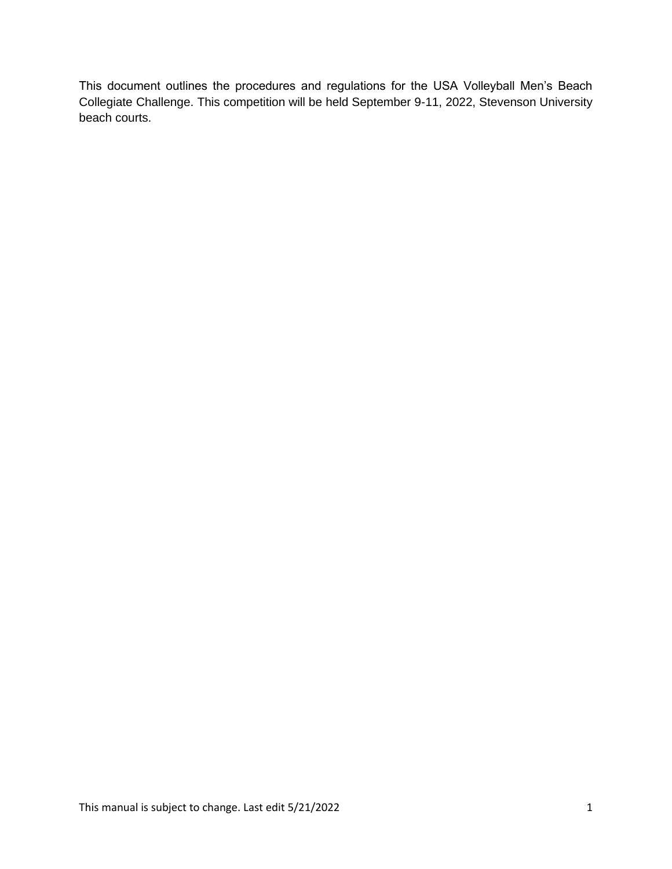This document outlines the procedures and regulations for the USA Volleyball Men's Beach Collegiate Challenge. This competition will be held September 9-11, 2022, Stevenson University beach courts.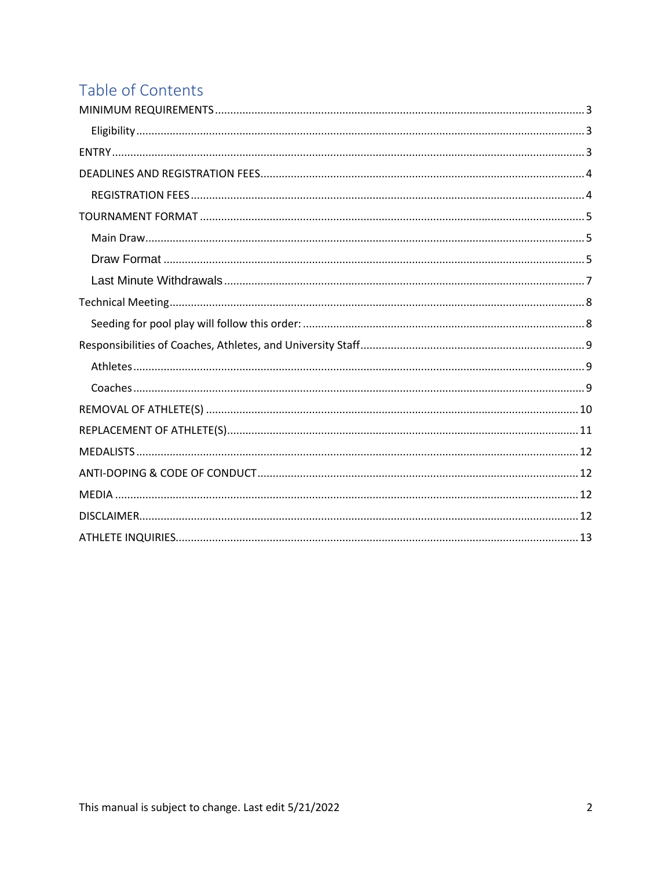# Table of Contents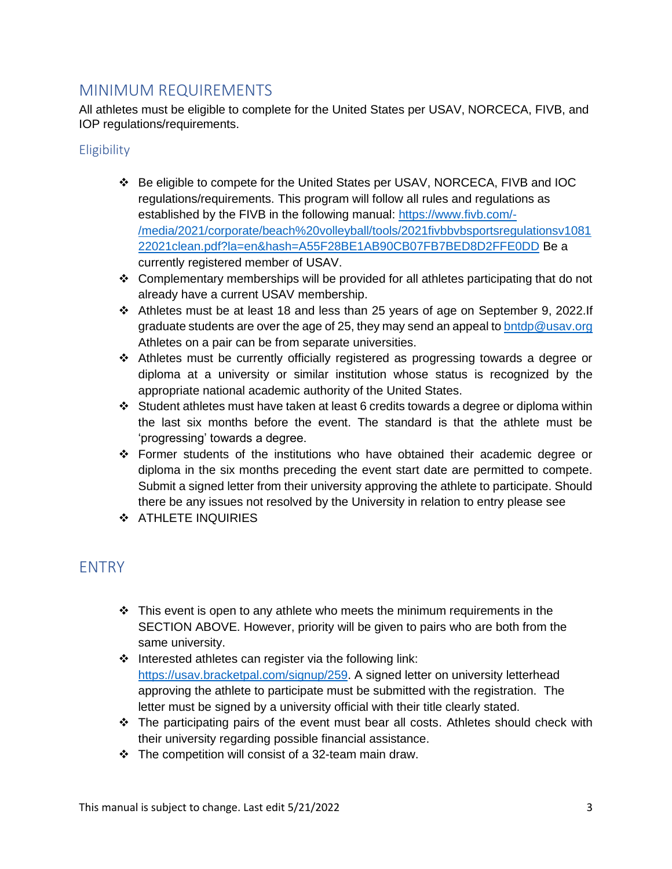## <span id="page-2-0"></span>MINIMUM REQUIREMENTS

All athletes must be eligible to complete for the United States per USAV, NORCECA, FIVB, and IOP regulations/requirements.

### <span id="page-2-1"></span>**Eligibility**

- ❖ Be eligible to compete for the United States per USAV, NORCECA, FIVB and IOC regulations/requirements. This program will follow all rules and regulations as established by the FIVB in the following manual: [https://www.fivb.com/-](https://www.fivb.com/-/media/2021/corporate/beach%20volleyball/tools/2021fivbbvbsportsregulationsv108122021clean.pdf?la=en&hash=A55F28BE1AB90CB07FB7BED8D2FFE0DD) [/media/2021/corporate/beach%20volleyball/tools/2021fivbbvbsportsregulationsv1081](https://www.fivb.com/-/media/2021/corporate/beach%20volleyball/tools/2021fivbbvbsportsregulationsv108122021clean.pdf?la=en&hash=A55F28BE1AB90CB07FB7BED8D2FFE0DD) [22021clean.pdf?la=en&hash=A55F28BE1AB90CB07FB7BED8D2FFE0DD](https://www.fivb.com/-/media/2021/corporate/beach%20volleyball/tools/2021fivbbvbsportsregulationsv108122021clean.pdf?la=en&hash=A55F28BE1AB90CB07FB7BED8D2FFE0DD) Be a currently registered member of USAV.
- $\div$  Complementary memberships will be provided for all athletes participating that do not already have a current USAV membership.
- ❖ Athletes must be at least 18 and less than 25 years of age on September 9, 2022.If graduate students are over the age of 25, they may send an appeal t[o bntdp@usav.org](mailto:bntdp@usav.org) Athletes on a pair can be from separate universities.
- ❖ Athletes must be currently officially registered as progressing towards a degree or diploma at a university or similar institution whose status is recognized by the appropriate national academic authority of the United States.
- ❖ Student athletes must have taken at least 6 credits towards a degree or diploma within the last six months before the event. The standard is that the athlete must be 'progressing' towards a degree.
- ❖ Former students of the institutions who have obtained their academic degree or diploma in the six months preceding the event start date are permitted to compete. Submit a signed letter from their university approving the athlete to participate. Should there be any issues not resolved by the University in relation to entry please see
- ❖ ATHLETE INQUIRIES

## <span id="page-2-2"></span>**FNTRY**

- $\div$  This event is open to any athlete who meets the minimum requirements in the SECTION ABOVE. However, priority will be given to pairs who are both from the same university.
- ❖ Interested athletes can register via the following link: [https://usav.bracketpal.com/signup/259.](https://usav.bracketpal.com/signup/259) A signed letter on university letterhead approving the athlete to participate must be submitted with the registration. The letter must be signed by a university official with their title clearly stated.
- ❖ The participating pairs of the event must bear all costs. Athletes should check with their university regarding possible financial assistance.
- ❖ The competition will consist of a 32-team main draw.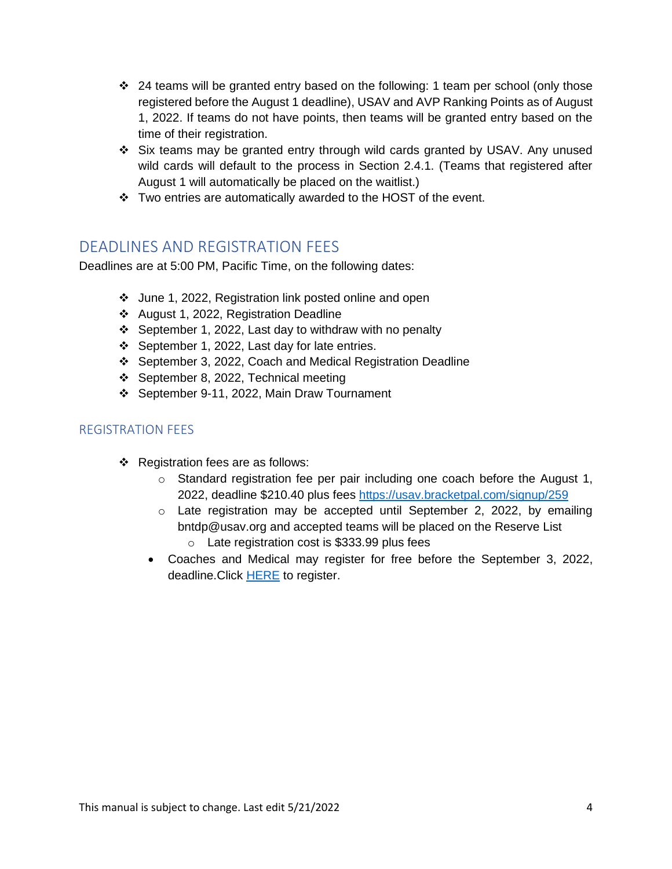- $\div$  24 teams will be granted entry based on the following: 1 team per school (only those registered before the August 1 deadline), USAV and AVP Ranking Points as of August 1, 2022. If teams do not have points, then teams will be granted entry based on the time of their registration.
- ❖ Six teams may be granted entry through wild cards granted by USAV. Any unused wild cards will default to the process in Section 2.4.1. (Teams that registered after August 1 will automatically be placed on the waitlist.)
- ❖ Two entries are automatically awarded to the HOST of the event.

## <span id="page-3-0"></span>DEADLINES AND REGISTRATION FEES

Deadlines are at 5:00 PM, Pacific Time, on the following dates:

- ❖ June 1, 2022, Registration link posted online and open
- ❖ August 1, 2022, Registration Deadline
- ❖ September 1, 2022, Last day to withdraw with no penalty
- ❖ September 1, 2022, Last day for late entries.
- ❖ September 3, 2022, Coach and Medical Registration Deadline
- ❖ September 8, 2022, Technical meeting
- ❖ September 9-11, 2022, Main Draw Tournament

### <span id="page-3-1"></span>REGISTRATION FEES

- ❖ Registration fees are as follows:
	- $\circ$  Standard registration fee per pair including one coach before the August 1, 2022, deadline \$210.40 plus fees<https://usav.bracketpal.com/signup/259>
	- o Late registration may be accepted until September 2, 2022, by emailing bntdp@usav.org and accepted teams will be placed on the Reserve List o Late registration cost is \$333.99 plus fees
	- Coaches and Medical may register for free before the September 3, 2022, deadline. Click [HERE](https://usav-ntdp.sportngin.com/register/form/149883649) to register.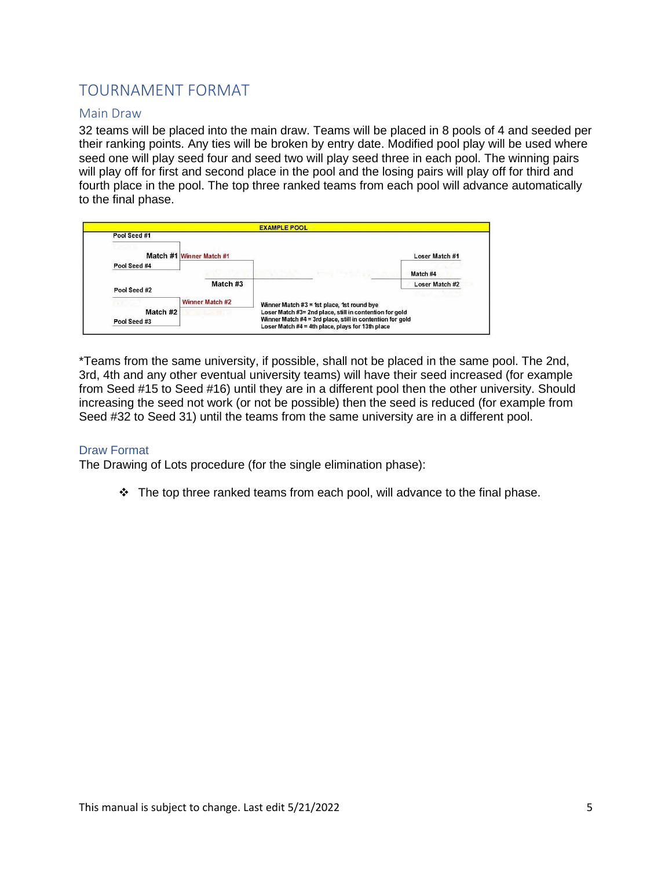# <span id="page-4-0"></span>TOURNAMENT FORMAT

#### <span id="page-4-1"></span>Main Draw

32 teams will be placed into the main draw. Teams will be placed in 8 pools of 4 and seeded per their ranking points. Any ties will be broken by entry date. Modified pool play will be used where seed one will play seed four and seed two will play seed three in each pool. The winning pairs will play off for first and second place in the pool and the losing pairs will play off for third and fourth place in the pool. The top three ranked teams from each pool will advance automatically to the final phase.

|                          |                          | <b>EXAMPLE POOL</b>                                                                                                                                                      |  |  |  |
|--------------------------|--------------------------|--------------------------------------------------------------------------------------------------------------------------------------------------------------------------|--|--|--|
| Pool Seed #1             |                          |                                                                                                                                                                          |  |  |  |
|                          | Match #1 Winner Match #1 | Loser Match #1                                                                                                                                                           |  |  |  |
| Pool Seed #4             |                          | Match #4                                                                                                                                                                 |  |  |  |
| Pool Seed #2             | Match #3                 | Loser Match #2                                                                                                                                                           |  |  |  |
|                          | Winner Match #2          | Winner Match #3 = 1st place, 1st round bye                                                                                                                               |  |  |  |
| Match #2<br>Pool Seed #3 | <b>NASA BR</b>           | Loser Match #3= 2nd place, still in contention for gold<br>Winner Match #4 = 3rd place, still in contention for gold<br>Loser Match #4 = 4th place, plays for 13th place |  |  |  |

\*Teams from the same university, if possible, shall not be placed in the same pool. The 2nd, 3rd, 4th and any other eventual university teams) will have their seed increased (for example from Seed #15 to Seed #16) until they are in a different pool then the other university. Should increasing the seed not work (or not be possible) then the seed is reduced (for example from Seed #32 to Seed 31) until the teams from the same university are in a different pool.

#### <span id="page-4-2"></span>Draw Format

The Drawing of Lots procedure (for the single elimination phase):

 $\div$  The top three ranked teams from each pool, will advance to the final phase.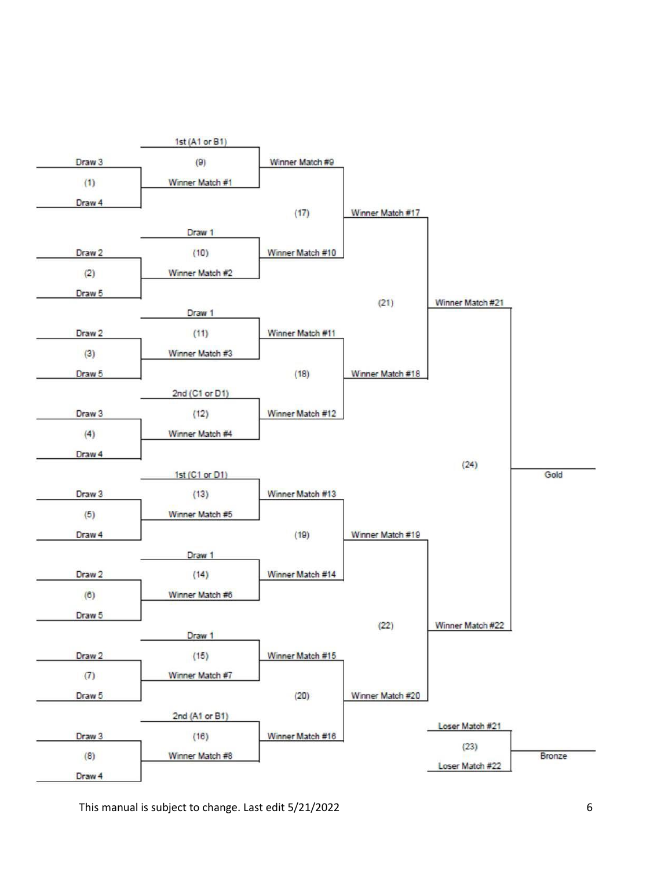

This manual is subject to change. Last edit  $5/21/2022$  6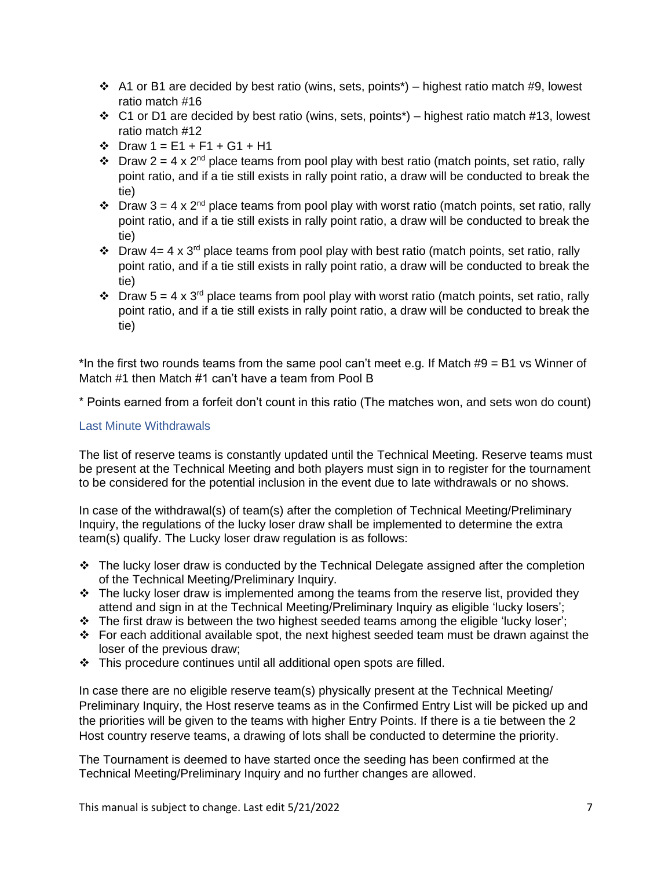- $\div$  A1 or B1 are decided by best ratio (wins, sets, points<sup>\*</sup>) highest ratio match #9, lowest ratio match #16
- ❖ C1 or D1 are decided by best ratio (wins, sets, points\*) highest ratio match #13, lowest ratio match #12
- ❖ Draw 1 = E1 + F1 + G1 + H1
- $\div$  Draw 2 = 4 x 2<sup>nd</sup> place teams from pool play with best ratio (match points, set ratio, rally point ratio, and if a tie still exists in rally point ratio, a draw will be conducted to break the tie)
- $\div$  Draw 3 = 4 x 2<sup>nd</sup> place teams from pool play with worst ratio (match points, set ratio, rally point ratio, and if a tie still exists in rally point ratio, a draw will be conducted to break the tie)
- $\cdot \cdot$  Draw 4= 4 x 3<sup>rd</sup> place teams from pool play with best ratio (match points, set ratio, rally point ratio, and if a tie still exists in rally point ratio, a draw will be conducted to break the tie)
- $\div$  Draw 5 = 4 x 3<sup>rd</sup> place teams from pool play with worst ratio (match points, set ratio, rally point ratio, and if a tie still exists in rally point ratio, a draw will be conducted to break the tie)

\*In the first two rounds teams from the same pool can't meet e.g. If Match  $#9 = B1$  vs Winner of Match #1 then Match #1 can't have a team from Pool B

\* Points earned from a forfeit don't count in this ratio (The matches won, and sets won do count)

### <span id="page-6-0"></span>Last Minute Withdrawals

The list of reserve teams is constantly updated until the Technical Meeting. Reserve teams must be present at the Technical Meeting and both players must sign in to register for the tournament to be considered for the potential inclusion in the event due to late withdrawals or no shows.

In case of the withdrawal(s) of team(s) after the completion of Technical Meeting/Preliminary Inquiry, the regulations of the lucky loser draw shall be implemented to determine the extra team(s) qualify. The Lucky loser draw regulation is as follows:

- $\cdot \cdot$  The lucky loser draw is conducted by the Technical Delegate assigned after the completion of the Technical Meeting/Preliminary Inquiry.
- $\cdot \cdot$  The lucky loser draw is implemented among the teams from the reserve list, provided they attend and sign in at the Technical Meeting/Preliminary Inquiry as eligible 'lucky losers';
- ❖ The first draw is between the two highest seeded teams among the eligible 'lucky loser';
- $\div$  For each additional available spot, the next highest seeded team must be drawn against the loser of the previous draw;
- ❖ This procedure continues until all additional open spots are filled.

In case there are no eligible reserve team(s) physically present at the Technical Meeting/ Preliminary Inquiry, the Host reserve teams as in the Confirmed Entry List will be picked up and the priorities will be given to the teams with higher Entry Points. If there is a tie between the 2 Host country reserve teams, a drawing of lots shall be conducted to determine the priority.

The Tournament is deemed to have started once the seeding has been confirmed at the Technical Meeting/Preliminary Inquiry and no further changes are allowed.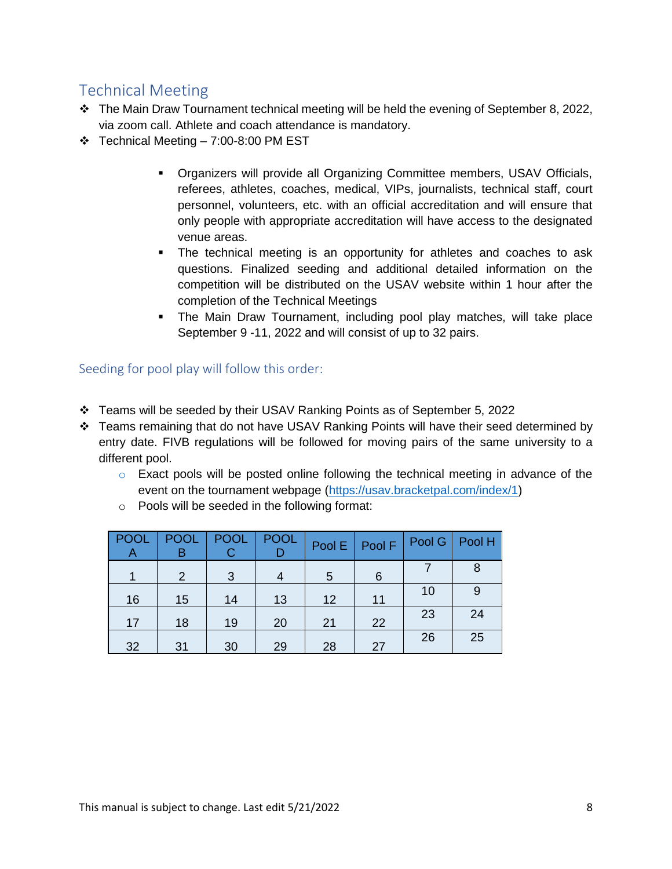# <span id="page-7-0"></span>Technical Meeting

- ❖ The Main Draw Tournament technical meeting will be held the evening of September 8, 2022, via zoom call. Athlete and coach attendance is mandatory.
- ❖ Technical Meeting 7:00-8:00 PM EST
	- Organizers will provide all Organizing Committee members, USAV Officials, referees, athletes, coaches, medical, VIPs, journalists, technical staff, court personnel, volunteers, etc. with an official accreditation and will ensure that only people with appropriate accreditation will have access to the designated venue areas.
	- **•** The technical meeting is an opportunity for athletes and coaches to ask questions. Finalized seeding and additional detailed information on the competition will be distributed on the USAV website within 1 hour after the completion of the Technical Meetings
	- The Main Draw Tournament, including pool play matches, will take place September 9 -11, 2022 and will consist of up to 32 pairs.

<span id="page-7-1"></span>Seeding for pool play will follow this order:

- ❖ Teams will be seeded by their USAV Ranking Points as of September 5, 2022
- ❖ Teams remaining that do not have USAV Ranking Points will have their seed determined by entry date. FIVB regulations will be followed for moving pairs of the same university to a different pool.
	- $\circ$  Exact pools will be posted online following the technical meeting in advance of the event on the tournament webpage [\(https://usav.bracketpal.com/index/1\)](https://usav.bracketpal.com/index/1)
	- o Pools will be seeded in the following format:

| POOL<br>Α | <b>POOL</b> | <b>POOL</b> | <b>POOL</b> |    | Pool $E$ Pool F | Pool G   Pool H |    |
|-----------|-------------|-------------|-------------|----|-----------------|-----------------|----|
|           | 2           | 3           |             | 5  | 6               |                 | 8  |
| 16        | 15          | 14          | 13          | 12 | 11              | 10              |    |
| 17        | 18          | 19          | 20          | 21 | 22              | 23              | 24 |
| 32        | 31          | 30          | 29          | 28 | 27              | 26              | 25 |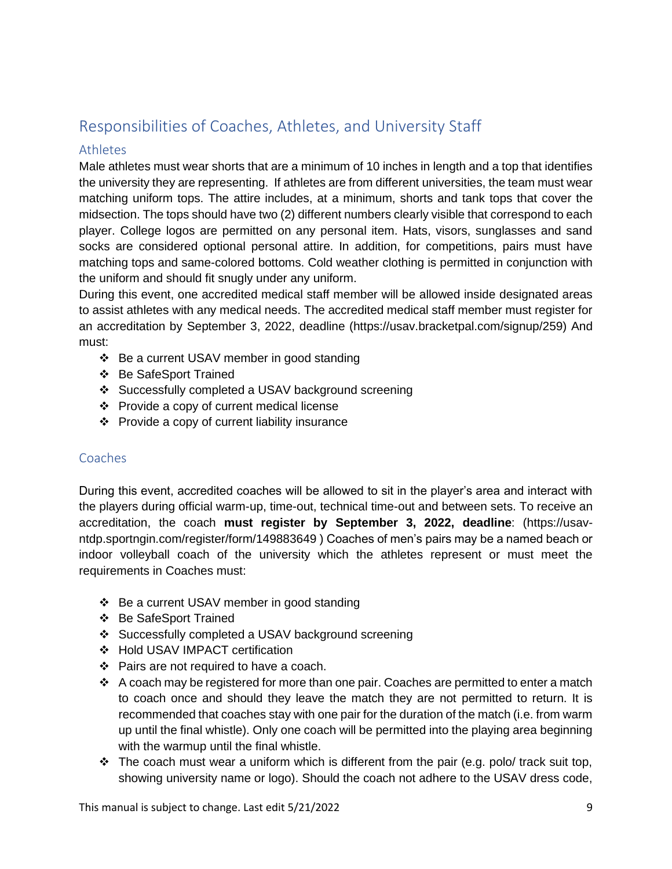# <span id="page-8-0"></span>Responsibilities of Coaches, Athletes, and University Staff

### <span id="page-8-1"></span>Athletes

Male athletes must wear shorts that are a minimum of 10 inches in length and a top that identifies the university they are representing. If athletes are from different universities, the team must wear matching uniform tops. The attire includes, at a minimum, shorts and tank tops that cover the midsection. The tops should have two (2) different numbers clearly visible that correspond to each player. College logos are permitted on any personal item. Hats, visors, sunglasses and sand socks are considered optional personal attire. In addition, for competitions, pairs must have matching tops and same-colored bottoms. Cold weather clothing is permitted in conjunction with the uniform and should fit snugly under any uniform.

During this event, one accredited medical staff member will be allowed inside designated areas to assist athletes with any medical needs. The accredited medical staff member must register for an accreditation by September 3, 2022, deadline (https://usav.bracketpal.com/signup/259) And must:

- ❖ Be a current USAV member in good standing
- ❖ Be SafeSport Trained
- ❖ Successfully completed a USAV background screening
- ❖ Provide a copy of current medical license
- ❖ Provide a copy of current liability insurance

### <span id="page-8-2"></span>Coaches

During this event, accredited coaches will be allowed to sit in the player's area and interact with the players during official warm-up, time-out, technical time-out and between sets. To receive an accreditation, the coach **must register by September 3, 2022, deadline**: (https://usavntdp.sportngin.com/register/form/149883649 ) Coaches of men's pairs may be a named beach or indoor volleyball coach of the university which the athletes represent or must meet the requirements in Coaches must:

- ❖ Be a current USAV member in good standing
- ❖ Be SafeSport Trained
- ❖ Successfully completed a USAV background screening
- ❖ Hold USAV IMPACT certification
- ❖ Pairs are not required to have a coach.
- ❖ A coach may be registered for more than one pair. Coaches are permitted to enter a match to coach once and should they leave the match they are not permitted to return. It is recommended that coaches stay with one pair for the duration of the match (i.e. from warm up until the final whistle). Only one coach will be permitted into the playing area beginning with the warmup until the final whistle.
- $\div$  The coach must wear a uniform which is different from the pair (e.g. polo/ track suit top, showing university name or logo). Should the coach not adhere to the USAV dress code,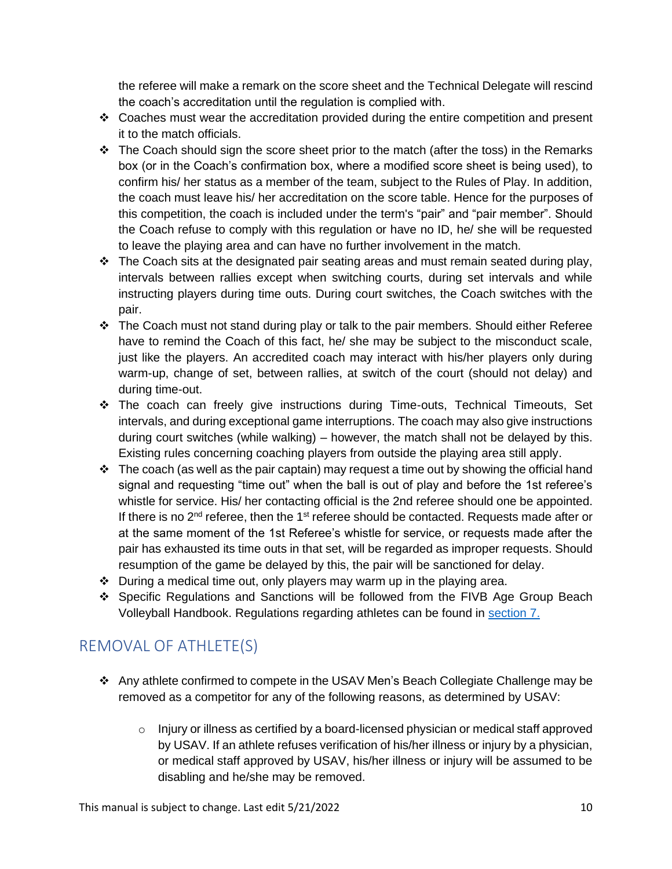the referee will make a remark on the score sheet and the Technical Delegate will rescind the coach's accreditation until the regulation is complied with.

- ❖ Coaches must wear the accreditation provided during the entire competition and present it to the match officials.
- $\div$  The Coach should sign the score sheet prior to the match (after the toss) in the Remarks box (or in the Coach's confirmation box, where a modified score sheet is being used), to confirm his/ her status as a member of the team, subject to the Rules of Play. In addition, the coach must leave his/ her accreditation on the score table. Hence for the purposes of this competition, the coach is included under the term's "pair" and "pair member". Should the Coach refuse to comply with this regulation or have no ID, he/ she will be requested to leave the playing area and can have no further involvement in the match.
- $\cdot \cdot$  The Coach sits at the designated pair seating areas and must remain seated during play, intervals between rallies except when switching courts, during set intervals and while instructing players during time outs. During court switches, the Coach switches with the pair.
- ❖ The Coach must not stand during play or talk to the pair members. Should either Referee have to remind the Coach of this fact, he/ she may be subject to the misconduct scale, just like the players. An accredited coach may interact with his/her players only during warm-up, change of set, between rallies, at switch of the court (should not delay) and during time-out.
- ❖ The coach can freely give instructions during Time-outs, Technical Timeouts, Set intervals, and during exceptional game interruptions. The coach may also give instructions during court switches (while walking) – however, the match shall not be delayed by this. Existing rules concerning coaching players from outside the playing area still apply.
- $\div$  The coach (as well as the pair captain) may request a time out by showing the official hand signal and requesting "time out" when the ball is out of play and before the 1st referee's whistle for service. His/ her contacting official is the 2nd referee should one be appointed. If there is no  $2<sup>nd</sup>$  referee, then the 1<sup>st</sup> referee should be contacted. Requests made after or at the same moment of the 1st Referee's whistle for service, or requests made after the pair has exhausted its time outs in that set, will be regarded as improper requests. Should resumption of the game be delayed by this, the pair will be sanctioned for delay.
- ❖ During a medical time out, only players may warm up in the playing area.
- ❖ Specific Regulations and Sanctions will be followed from the FIVB Age Group Beach Volleyball Handbook. Regulations regarding athletes can be found in [section 7.](file:///C:/Users/carolina.garbato/Downloads/FIVB_Age_Group_WCHS_Handbook_20211207%20(3).pdf)

# <span id="page-9-0"></span>REMOVAL OF ATHLETE(S)

- ❖ Any athlete confirmed to compete in the USAV Men's Beach Collegiate Challenge may be removed as a competitor for any of the following reasons, as determined by USAV:
	- $\circ$  Injury or illness as certified by a board-licensed physician or medical staff approved by USAV. If an athlete refuses verification of his/her illness or injury by a physician, or medical staff approved by USAV, his/her illness or injury will be assumed to be disabling and he/she may be removed.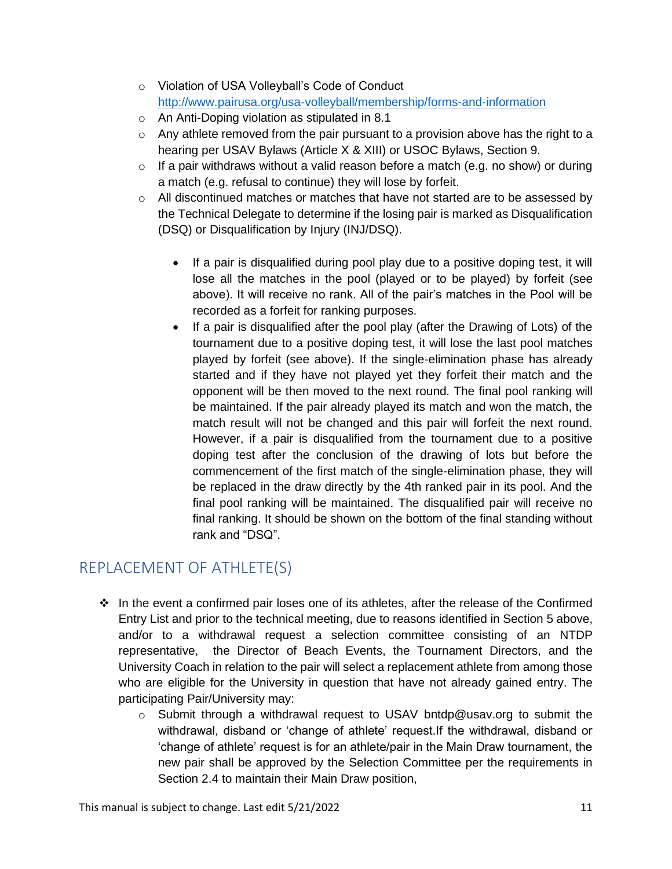- o Violation of USA Volleyball's Code of Conduct <http://www.pairusa.org/usa-volleyball/membership/forms-and-information>
- o An Anti-Doping violation as stipulated in 8.1
- $\circ$  Any athlete removed from the pair pursuant to a provision above has the right to a hearing per USAV Bylaws (Article X & XIII) or USOC Bylaws, Section 9.
- $\circ$  If a pair withdraws without a valid reason before a match (e.g. no show) or during a match (e.g. refusal to continue) they will lose by forfeit.
- $\circ$  All discontinued matches or matches that have not started are to be assessed by the Technical Delegate to determine if the losing pair is marked as Disqualification (DSQ) or Disqualification by Injury (INJ/DSQ).
	- If a pair is disqualified during pool play due to a positive doping test, it will lose all the matches in the pool (played or to be played) by forfeit (see above). It will receive no rank. All of the pair's matches in the Pool will be recorded as a forfeit for ranking purposes.
	- If a pair is disqualified after the pool play (after the Drawing of Lots) of the tournament due to a positive doping test, it will lose the last pool matches played by forfeit (see above). If the single-elimination phase has already started and if they have not played yet they forfeit their match and the opponent will be then moved to the next round. The final pool ranking will be maintained. If the pair already played its match and won the match, the match result will not be changed and this pair will forfeit the next round. However, if a pair is disqualified from the tournament due to a positive doping test after the conclusion of the drawing of lots but before the commencement of the first match of the single-elimination phase, they will be replaced in the draw directly by the 4th ranked pair in its pool. And the final pool ranking will be maintained. The disqualified pair will receive no final ranking. It should be shown on the bottom of the final standing without rank and "DSQ".

# <span id="page-10-0"></span>REPLACEMENT OF ATHLETE(S)

- ❖ In the event a confirmed pair loses one of its athletes, after the release of the Confirmed Entry List and prior to the technical meeting, due to reasons identified in Section 5 above, and/or to a withdrawal request a selection committee consisting of an NTDP representative, the Director of Beach Events, the Tournament Directors, and the University Coach in relation to the pair will select a replacement athlete from among those who are eligible for the University in question that have not already gained entry. The participating Pair/University may:
	- $\circ$  Submit through a withdrawal request to USAV bntdp@usav.org to submit the withdrawal, disband or 'change of athlete' request.If the withdrawal, disband or 'change of athlete' request is for an athlete/pair in the Main Draw tournament, the new pair shall be approved by the Selection Committee per the requirements in Section 2.4 to maintain their Main Draw position,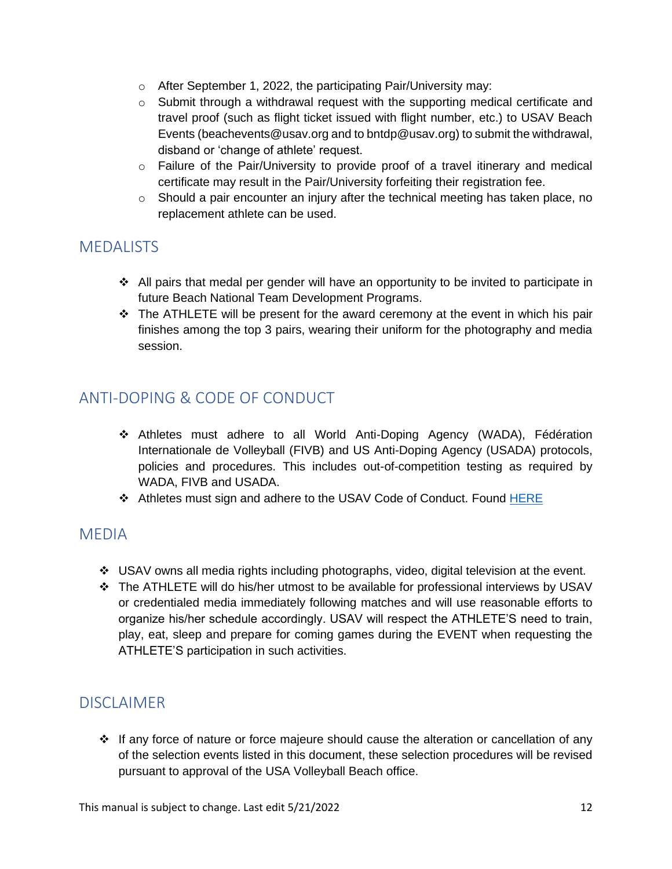- o After September 1, 2022, the participating Pair/University may:
- o Submit through a withdrawal request with the supporting medical certificate and travel proof (such as flight ticket issued with flight number, etc.) to USAV Beach Events (beachevents@usav.org and to bntdp@usav.org) to submit the withdrawal, disband or 'change of athlete' request.
- $\circ$  Failure of the Pair/University to provide proof of a travel itinerary and medical certificate may result in the Pair/University forfeiting their registration fee.
- $\circ$  Should a pair encounter an injury after the technical meeting has taken place, no replacement athlete can be used.

## <span id="page-11-0"></span>**MEDALISTS**

- ❖ All pairs that medal per gender will have an opportunity to be invited to participate in future Beach National Team Development Programs.
- ❖ The ATHLETE will be present for the award ceremony at the event in which his pair finishes among the top 3 pairs, wearing their uniform for the photography and media session.

# <span id="page-11-1"></span>ANTI-DOPING & CODE OF CONDUCT

- ❖ Athletes must adhere to all World Anti-Doping Agency (WADA), Fédération Internationale de Volleyball (FIVB) and US Anti-Doping Agency (USADA) protocols, policies and procedures. This includes out-of-competition testing as required by WADA, FIVB and USADA.
- ❖ Athletes must sign and adhere to the USAV Code of Conduct. Found [HERE](https://usavolleyball.org/wp-content/uploads/2022/04/2022-Code-of-Conduct.pdf)

### <span id="page-11-2"></span>MEDIA

- ❖ USAV owns all media rights including photographs, video, digital television at the event.
- ❖ The ATHLETE will do his/her utmost to be available for professional interviews by USAV or credentialed media immediately following matches and will use reasonable efforts to organize his/her schedule accordingly. USAV will respect the ATHLETE'S need to train, play, eat, sleep and prepare for coming games during the EVENT when requesting the ATHLETE'S participation in such activities.

# <span id="page-11-3"></span>**DISCLAIMER**

❖ If any force of nature or force majeure should cause the alteration or cancellation of any of the selection events listed in this document, these selection procedures will be revised pursuant to approval of the USA Volleyball Beach office.